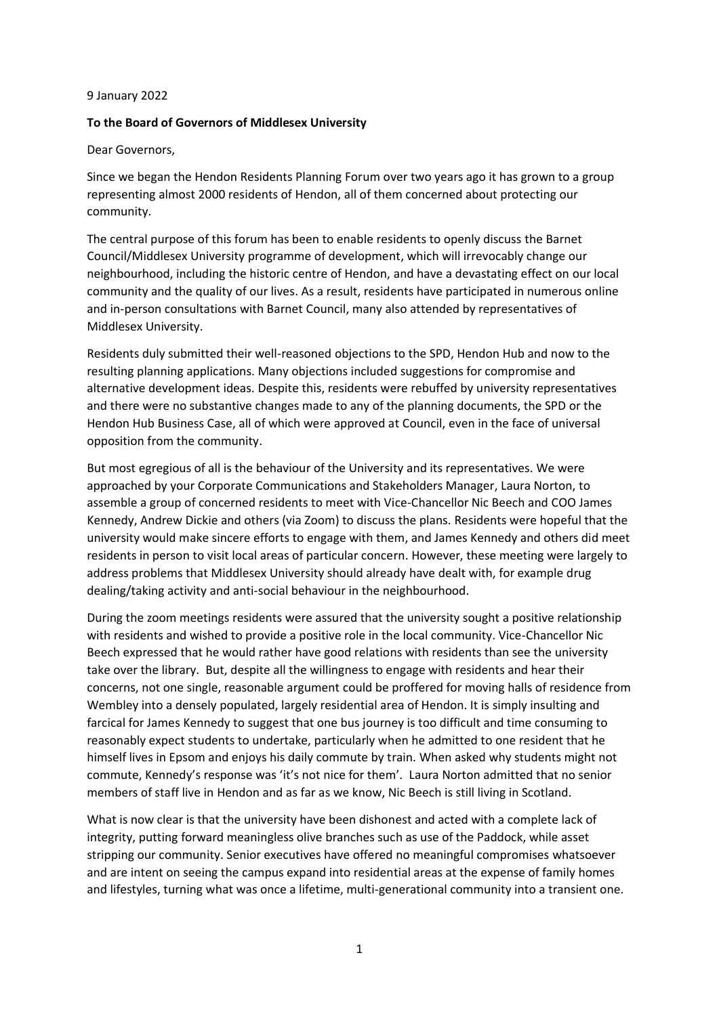## 9 January 2022

## **To the Board of Governors of Middlesex University**

Dear Governors,

Since we began the Hendon Residents Planning Forum over two years ago it has grown to a group representing almost 2000 residents of Hendon, all of them concerned about protecting our community.

The central purpose of this forum has been to enable residents to openly discuss the Barnet Council/Middlesex University programme of development, which will irrevocably change our neighbourhood, including the historic centre of Hendon, and have a devastating effect on our local community and the quality of our lives. As a result, residents have participated in numerous online and in-person consultations with Barnet Council, many also attended by representatives of Middlesex University.

Residents duly submitted their well-reasoned objections to the SPD, Hendon Hub and now to the resulting planning applications. Many objections included suggestions for compromise and alternative development ideas. Despite this, residents were rebuffed by university representatives and there were no substantive changes made to any of the planning documents, the SPD or the Hendon Hub Business Case, all of which were approved at Council, even in the face of universal opposition from the community.

But most egregious of all is the behaviour of the University and its representatives. We were approached by your Corporate Communications and Stakeholders Manager, Laura Norton, to assemble a group of concerned residents to meet with Vice-Chancellor Nic Beech and COO James Kennedy, Andrew Dickie and others (via Zoom) to discuss the plans. Residents were hopeful that the university would make sincere efforts to engage with them, and James Kennedy and others did meet residents in person to visit local areas of particular concern. However, these meeting were largely to address problems that Middlesex University should already have dealt with, for example drug dealing/taking activity and anti-social behaviour in the neighbourhood.

During the zoom meetings residents were assured that the university sought a positive relationship with residents and wished to provide a positive role in the local community. Vice-Chancellor Nic Beech expressed that he would rather have good relations with residents than see the university take over the library. But, despite all the willingness to engage with residents and hear their concerns, not one single, reasonable argument could be proffered for moving halls of residence from Wembley into a densely populated, largely residential area of Hendon. It is simply insulting and farcical for James Kennedy to suggest that one bus journey is too difficult and time consuming to reasonably expect students to undertake, particularly when he admitted to one resident that he himself lives in Epsom and enjoys his daily commute by train. When asked why students might not commute, Kennedy's response was 'it's not nice for them'. Laura Norton admitted that no senior members of staff live in Hendon and as far as we know, Nic Beech is still living in Scotland.

What is now clear is that the university have been dishonest and acted with a complete lack of integrity, putting forward meaningless olive branches such as use of the Paddock, while asset stripping our community. Senior executives have offered no meaningful compromises whatsoever and are intent on seeing the campus expand into residential areas at the expense of family homes and lifestyles, turning what was once a lifetime, multi-generational community into a transient one.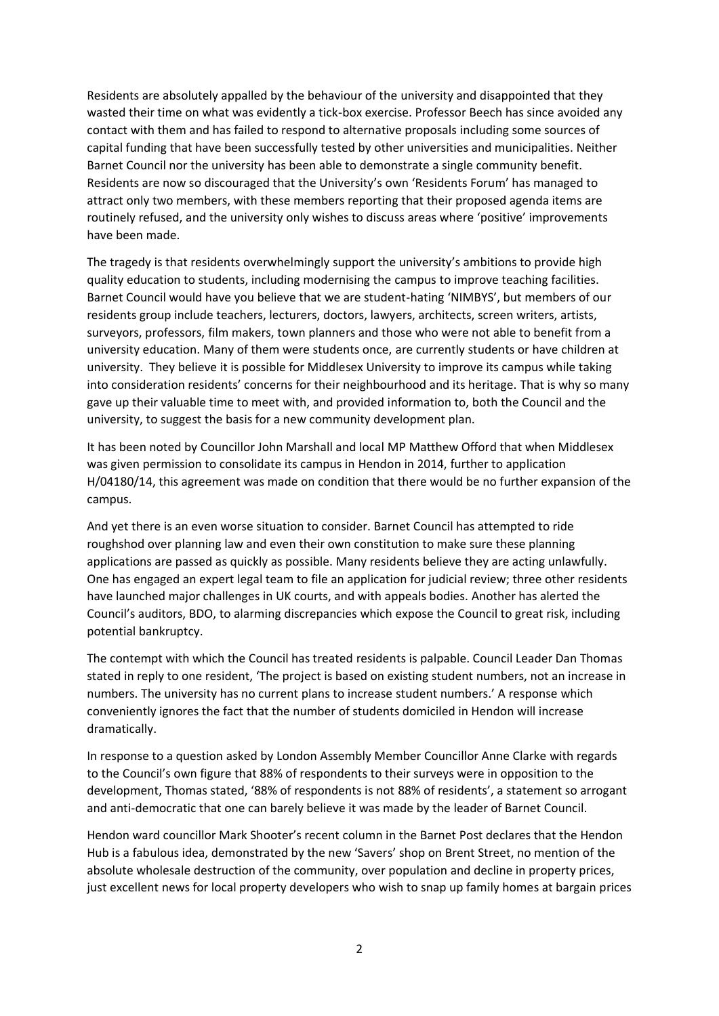Residents are absolutely appalled by the behaviour of the university and disappointed that they wasted their time on what was evidently a tick-box exercise. Professor Beech has since avoided any contact with them and has failed to respond to alternative proposals including some sources of capital funding that have been successfully tested by other universities and municipalities. Neither Barnet Council nor the university has been able to demonstrate a single community benefit. Residents are now so discouraged that the University's own 'Residents Forum' has managed to attract only two members, with these members reporting that their proposed agenda items are routinely refused, and the university only wishes to discuss areas where 'positive' improvements have been made.

The tragedy is that residents overwhelmingly support the university's ambitions to provide high quality education to students, including modernising the campus to improve teaching facilities. Barnet Council would have you believe that we are student-hating 'NIMBYS', but members of our residents group include teachers, lecturers, doctors, lawyers, architects, screen writers, artists, surveyors, professors, film makers, town planners and those who were not able to benefit from a university education. Many of them were students once, are currently students or have children at university. They believe it is possible for Middlesex University to improve its campus while taking into consideration residents' concerns for their neighbourhood and its heritage. That is why so many gave up their valuable time to meet with, and provided information to, both the Council and the university, to suggest the basis for a new community development plan.

It has been noted by Councillor John Marshall and local MP Matthew Offord that when Middlesex was given permission to consolidate its campus in Hendon in 2014, further to application H/04180/14, this agreement was made on condition that there would be no further expansion of the campus.

And yet there is an even worse situation to consider. Barnet Council has attempted to ride roughshod over planning law and even their own constitution to make sure these planning applications are passed as quickly as possible. Many residents believe they are acting unlawfully. One has engaged an expert legal team to file an application for judicial review; three other residents have launched major challenges in UK courts, and with appeals bodies. Another has alerted the Council's auditors, BDO, to alarming discrepancies which expose the Council to great risk, including potential bankruptcy.

The contempt with which the Council has treated residents is palpable. Council Leader Dan Thomas stated in reply to one resident, 'The project is based on existing student numbers, not an increase in numbers. The university has no current plans to increase student numbers.' A response which conveniently ignores the fact that the number of students domiciled in Hendon will increase dramatically.

In response to a question asked by London Assembly Member Councillor Anne Clarke with regards to the Council's own figure that 88% of respondents to their surveys were in opposition to the development, Thomas stated, '88% of respondents is not 88% of residents', a statement so arrogant and anti-democratic that one can barely believe it was made by the leader of Barnet Council.

Hendon ward councillor Mark Shooter's recent column in the Barnet Post declares that the Hendon Hub is a fabulous idea, demonstrated by the new 'Savers' shop on Brent Street, no mention of the absolute wholesale destruction of the community, over population and decline in property prices, just excellent news for local property developers who wish to snap up family homes at bargain prices